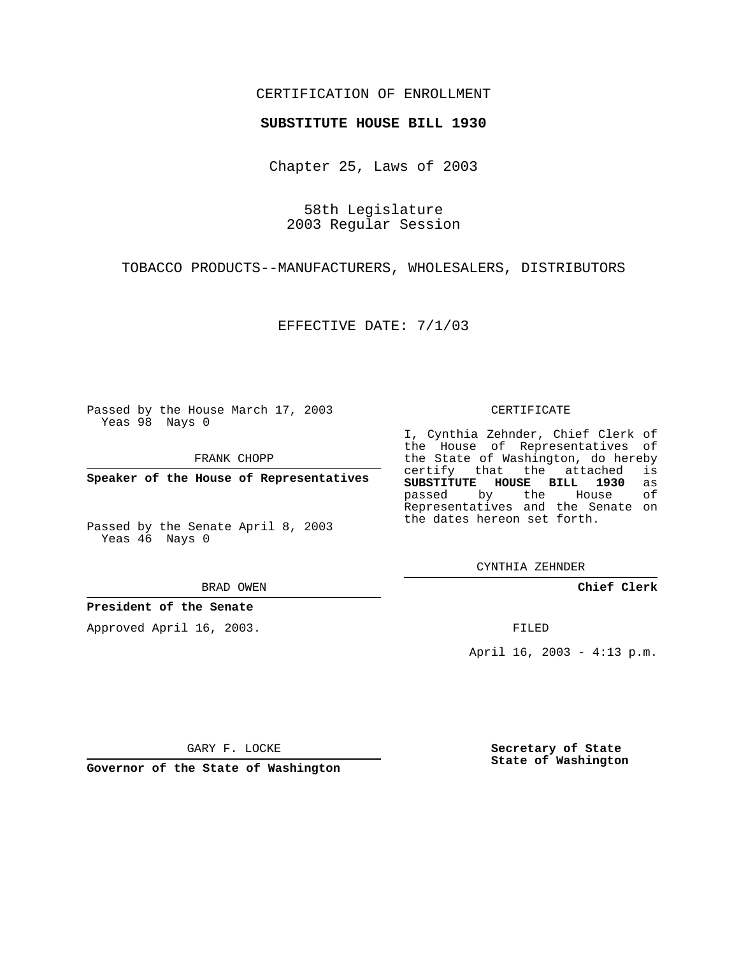## CERTIFICATION OF ENROLLMENT

## **SUBSTITUTE HOUSE BILL 1930**

Chapter 25, Laws of 2003

58th Legislature 2003 Regular Session

TOBACCO PRODUCTS--MANUFACTURERS, WHOLESALERS, DISTRIBUTORS

EFFECTIVE DATE: 7/1/03

Passed by the House March 17, 2003 Yeas 98 Nays 0

FRANK CHOPP

**Speaker of the House of Representatives**

Passed by the Senate April 8, 2003 Yeas 46 Nays 0

BRAD OWEN

**President of the Senate**

Approved April 16, 2003.

CERTIFICATE

I, Cynthia Zehnder, Chief Clerk of the House of Representatives of the State of Washington, do hereby<br>certify that the attached is certify that the attached **SUBSTITUTE HOUSE BILL 1930** as passed by the House of Representatives and the Senate on the dates hereon set forth.

CYNTHIA ZEHNDER

**Chief Clerk**

FILED

April 16, 2003 - 4:13 p.m.

GARY F. LOCKE

**Governor of the State of Washington**

**Secretary of State State of Washington**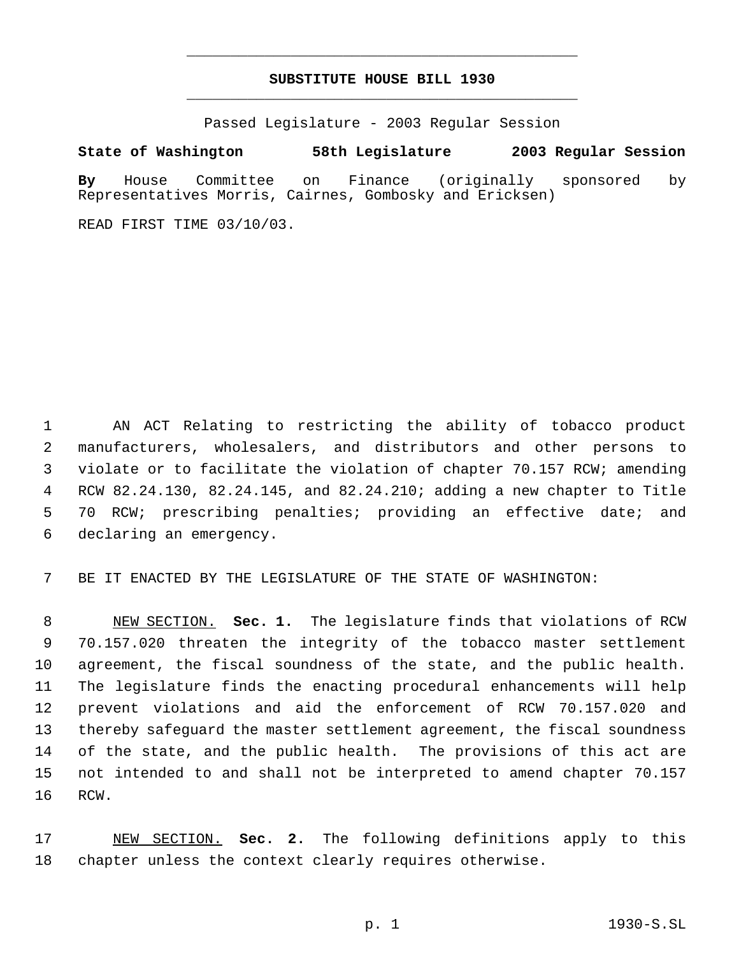## **SUBSTITUTE HOUSE BILL 1930** \_\_\_\_\_\_\_\_\_\_\_\_\_\_\_\_\_\_\_\_\_\_\_\_\_\_\_\_\_\_\_\_\_\_\_\_\_\_\_\_\_\_\_\_\_

\_\_\_\_\_\_\_\_\_\_\_\_\_\_\_\_\_\_\_\_\_\_\_\_\_\_\_\_\_\_\_\_\_\_\_\_\_\_\_\_\_\_\_\_\_

Passed Legislature - 2003 Regular Session

## **State of Washington 58th Legislature 2003 Regular Session**

**By** House Committee on Finance (originally sponsored by Representatives Morris, Cairnes, Gombosky and Ericksen)

READ FIRST TIME 03/10/03.

 AN ACT Relating to restricting the ability of tobacco product manufacturers, wholesalers, and distributors and other persons to violate or to facilitate the violation of chapter 70.157 RCW; amending RCW 82.24.130, 82.24.145, and 82.24.210; adding a new chapter to Title 70 RCW; prescribing penalties; providing an effective date; and declaring an emergency.

BE IT ENACTED BY THE LEGISLATURE OF THE STATE OF WASHINGTON:

 NEW SECTION. **Sec. 1.** The legislature finds that violations of RCW 70.157.020 threaten the integrity of the tobacco master settlement agreement, the fiscal soundness of the state, and the public health. The legislature finds the enacting procedural enhancements will help prevent violations and aid the enforcement of RCW 70.157.020 and thereby safeguard the master settlement agreement, the fiscal soundness of the state, and the public health. The provisions of this act are not intended to and shall not be interpreted to amend chapter 70.157 RCW.

 NEW SECTION. **Sec. 2.** The following definitions apply to this chapter unless the context clearly requires otherwise.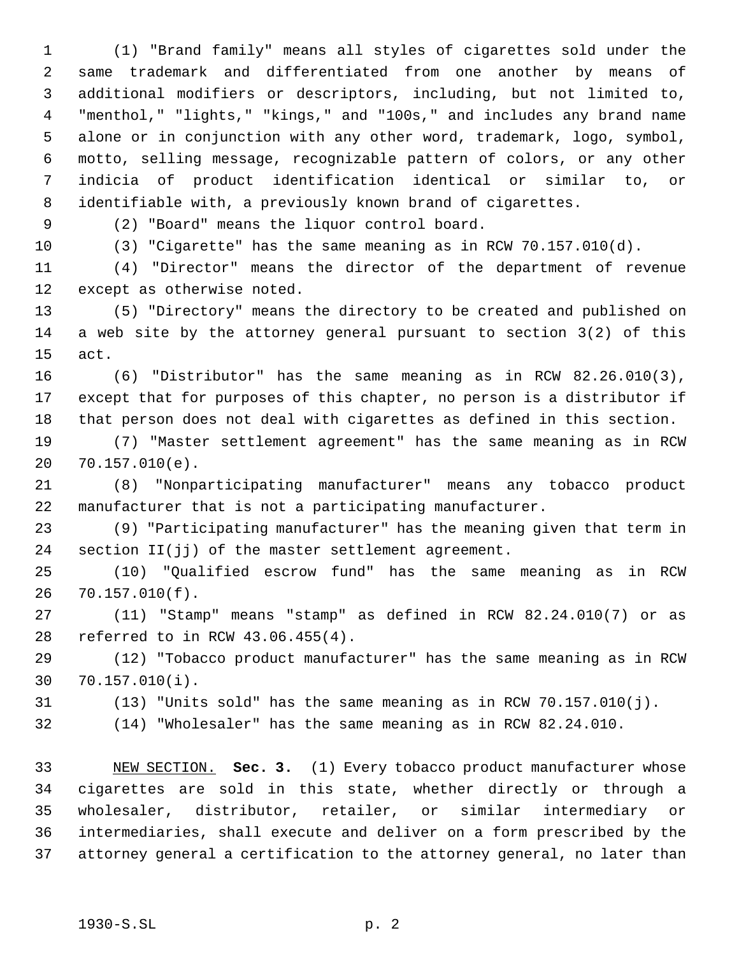(1) "Brand family" means all styles of cigarettes sold under the same trademark and differentiated from one another by means of additional modifiers or descriptors, including, but not limited to, "menthol," "lights," "kings," and "100s," and includes any brand name alone or in conjunction with any other word, trademark, logo, symbol, motto, selling message, recognizable pattern of colors, or any other indicia of product identification identical or similar to, or identifiable with, a previously known brand of cigarettes.

(2) "Board" means the liquor control board.

(3) "Cigarette" has the same meaning as in RCW 70.157.010(d).

 (4) "Director" means the director of the department of revenue except as otherwise noted.

 (5) "Directory" means the directory to be created and published on a web site by the attorney general pursuant to section 3(2) of this act.

 (6) "Distributor" has the same meaning as in RCW 82.26.010(3), except that for purposes of this chapter, no person is a distributor if that person does not deal with cigarettes as defined in this section.

 (7) "Master settlement agreement" has the same meaning as in RCW 70.157.010(e).

 (8) "Nonparticipating manufacturer" means any tobacco product manufacturer that is not a participating manufacturer.

 (9) "Participating manufacturer" has the meaning given that term in section II(jj) of the master settlement agreement.

 (10) "Qualified escrow fund" has the same meaning as in RCW 70.157.010(f).

 (11) "Stamp" means "stamp" as defined in RCW 82.24.010(7) or as referred to in RCW 43.06.455(4).

 (12) "Tobacco product manufacturer" has the same meaning as in RCW 70.157.010(i).

(13) "Units sold" has the same meaning as in RCW 70.157.010(j).

(14) "Wholesaler" has the same meaning as in RCW 82.24.010.

 NEW SECTION. **Sec. 3.** (1) Every tobacco product manufacturer whose cigarettes are sold in this state, whether directly or through a wholesaler, distributor, retailer, or similar intermediary or intermediaries, shall execute and deliver on a form prescribed by the attorney general a certification to the attorney general, no later than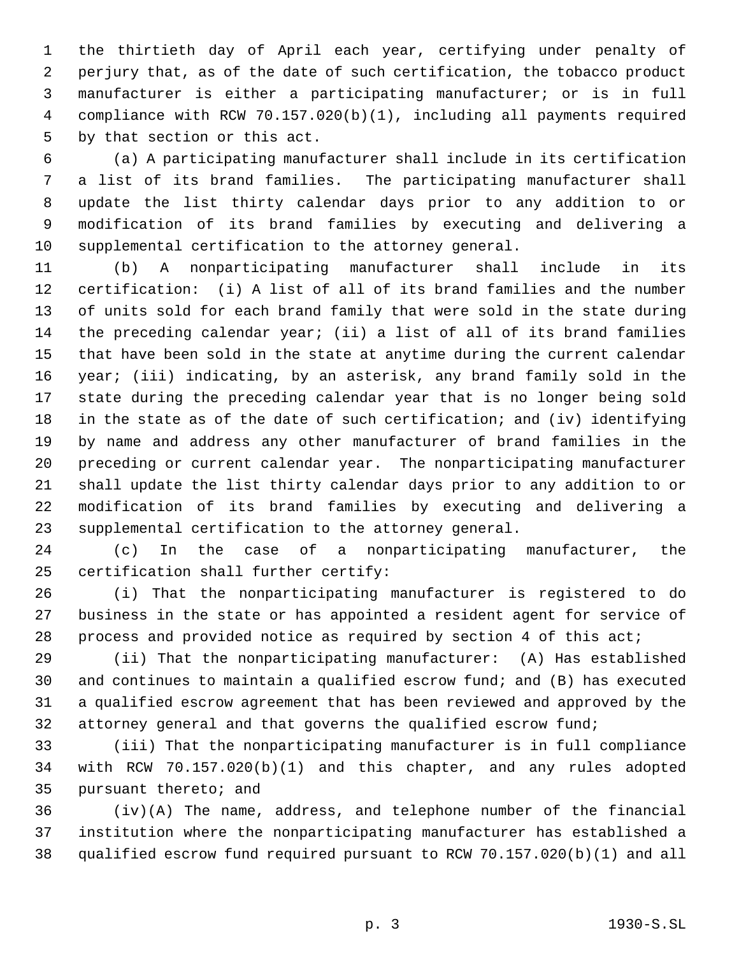the thirtieth day of April each year, certifying under penalty of perjury that, as of the date of such certification, the tobacco product manufacturer is either a participating manufacturer; or is in full compliance with RCW 70.157.020(b)(1), including all payments required by that section or this act.

 (a) A participating manufacturer shall include in its certification a list of its brand families. The participating manufacturer shall update the list thirty calendar days prior to any addition to or modification of its brand families by executing and delivering a supplemental certification to the attorney general.

 (b) A nonparticipating manufacturer shall include in its certification: (i) A list of all of its brand families and the number of units sold for each brand family that were sold in the state during the preceding calendar year; (ii) a list of all of its brand families that have been sold in the state at anytime during the current calendar year; (iii) indicating, by an asterisk, any brand family sold in the state during the preceding calendar year that is no longer being sold in the state as of the date of such certification; and (iv) identifying by name and address any other manufacturer of brand families in the preceding or current calendar year. The nonparticipating manufacturer shall update the list thirty calendar days prior to any addition to or modification of its brand families by executing and delivering a supplemental certification to the attorney general.

 (c) In the case of a nonparticipating manufacturer, the certification shall further certify:

 (i) That the nonparticipating manufacturer is registered to do business in the state or has appointed a resident agent for service of process and provided notice as required by section 4 of this act;

 (ii) That the nonparticipating manufacturer: (A) Has established and continues to maintain a qualified escrow fund; and (B) has executed a qualified escrow agreement that has been reviewed and approved by the attorney general and that governs the qualified escrow fund;

 (iii) That the nonparticipating manufacturer is in full compliance with RCW 70.157.020(b)(1) and this chapter, and any rules adopted pursuant thereto; and

 (iv)(A) The name, address, and telephone number of the financial institution where the nonparticipating manufacturer has established a qualified escrow fund required pursuant to RCW 70.157.020(b)(1) and all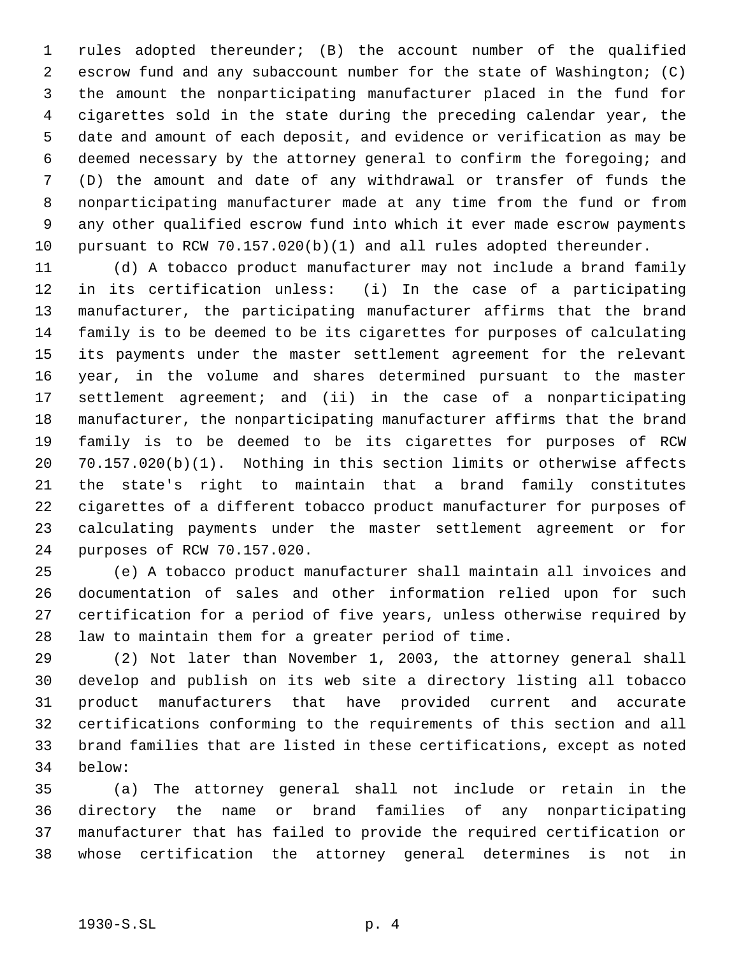rules adopted thereunder; (B) the account number of the qualified escrow fund and any subaccount number for the state of Washington; (C) the amount the nonparticipating manufacturer placed in the fund for cigarettes sold in the state during the preceding calendar year, the date and amount of each deposit, and evidence or verification as may be deemed necessary by the attorney general to confirm the foregoing; and (D) the amount and date of any withdrawal or transfer of funds the nonparticipating manufacturer made at any time from the fund or from any other qualified escrow fund into which it ever made escrow payments pursuant to RCW 70.157.020(b)(1) and all rules adopted thereunder.

 (d) A tobacco product manufacturer may not include a brand family in its certification unless: (i) In the case of a participating manufacturer, the participating manufacturer affirms that the brand family is to be deemed to be its cigarettes for purposes of calculating its payments under the master settlement agreement for the relevant year, in the volume and shares determined pursuant to the master settlement agreement; and (ii) in the case of a nonparticipating manufacturer, the nonparticipating manufacturer affirms that the brand family is to be deemed to be its cigarettes for purposes of RCW 70.157.020(b)(1). Nothing in this section limits or otherwise affects the state's right to maintain that a brand family constitutes cigarettes of a different tobacco product manufacturer for purposes of calculating payments under the master settlement agreement or for purposes of RCW 70.157.020.

 (e) A tobacco product manufacturer shall maintain all invoices and documentation of sales and other information relied upon for such certification for a period of five years, unless otherwise required by law to maintain them for a greater period of time.

 (2) Not later than November 1, 2003, the attorney general shall develop and publish on its web site a directory listing all tobacco product manufacturers that have provided current and accurate certifications conforming to the requirements of this section and all brand families that are listed in these certifications, except as noted below:

 (a) The attorney general shall not include or retain in the directory the name or brand families of any nonparticipating manufacturer that has failed to provide the required certification or whose certification the attorney general determines is not in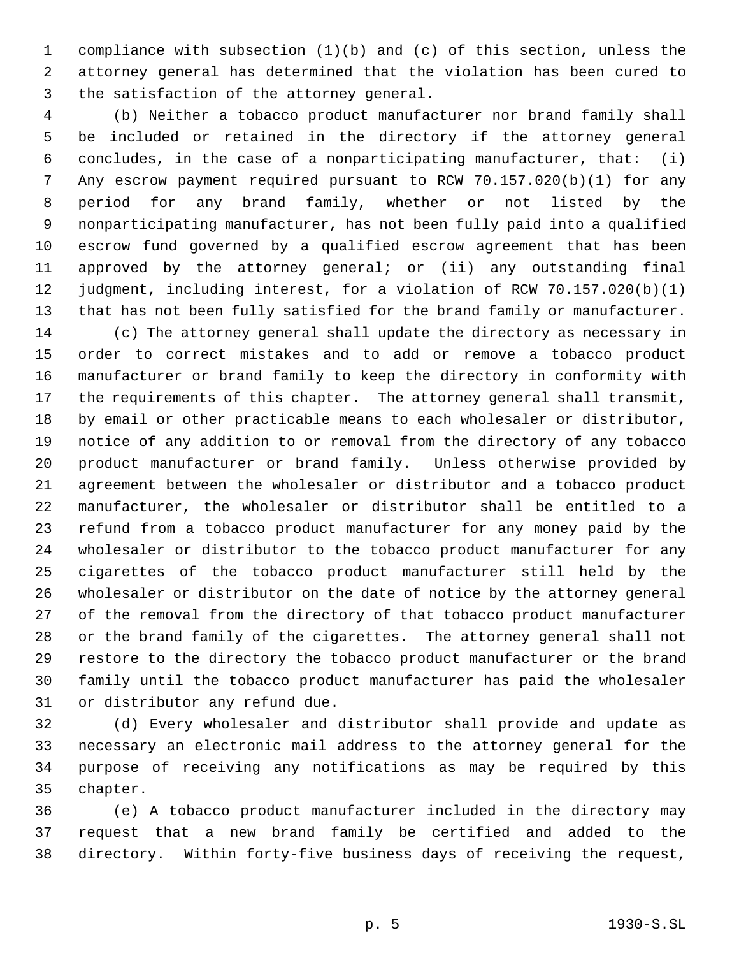compliance with subsection (1)(b) and (c) of this section, unless the attorney general has determined that the violation has been cured to the satisfaction of the attorney general.

 (b) Neither a tobacco product manufacturer nor brand family shall be included or retained in the directory if the attorney general concludes, in the case of a nonparticipating manufacturer, that: (i) Any escrow payment required pursuant to RCW 70.157.020(b)(1) for any period for any brand family, whether or not listed by the nonparticipating manufacturer, has not been fully paid into a qualified escrow fund governed by a qualified escrow agreement that has been approved by the attorney general; or (ii) any outstanding final judgment, including interest, for a violation of RCW 70.157.020(b)(1) that has not been fully satisfied for the brand family or manufacturer.

 (c) The attorney general shall update the directory as necessary in order to correct mistakes and to add or remove a tobacco product manufacturer or brand family to keep the directory in conformity with the requirements of this chapter. The attorney general shall transmit, by email or other practicable means to each wholesaler or distributor, notice of any addition to or removal from the directory of any tobacco product manufacturer or brand family. Unless otherwise provided by agreement between the wholesaler or distributor and a tobacco product manufacturer, the wholesaler or distributor shall be entitled to a refund from a tobacco product manufacturer for any money paid by the wholesaler or distributor to the tobacco product manufacturer for any cigarettes of the tobacco product manufacturer still held by the wholesaler or distributor on the date of notice by the attorney general of the removal from the directory of that tobacco product manufacturer or the brand family of the cigarettes. The attorney general shall not restore to the directory the tobacco product manufacturer or the brand family until the tobacco product manufacturer has paid the wholesaler or distributor any refund due.

 (d) Every wholesaler and distributor shall provide and update as necessary an electronic mail address to the attorney general for the purpose of receiving any notifications as may be required by this chapter.

 (e) A tobacco product manufacturer included in the directory may request that a new brand family be certified and added to the directory. Within forty-five business days of receiving the request,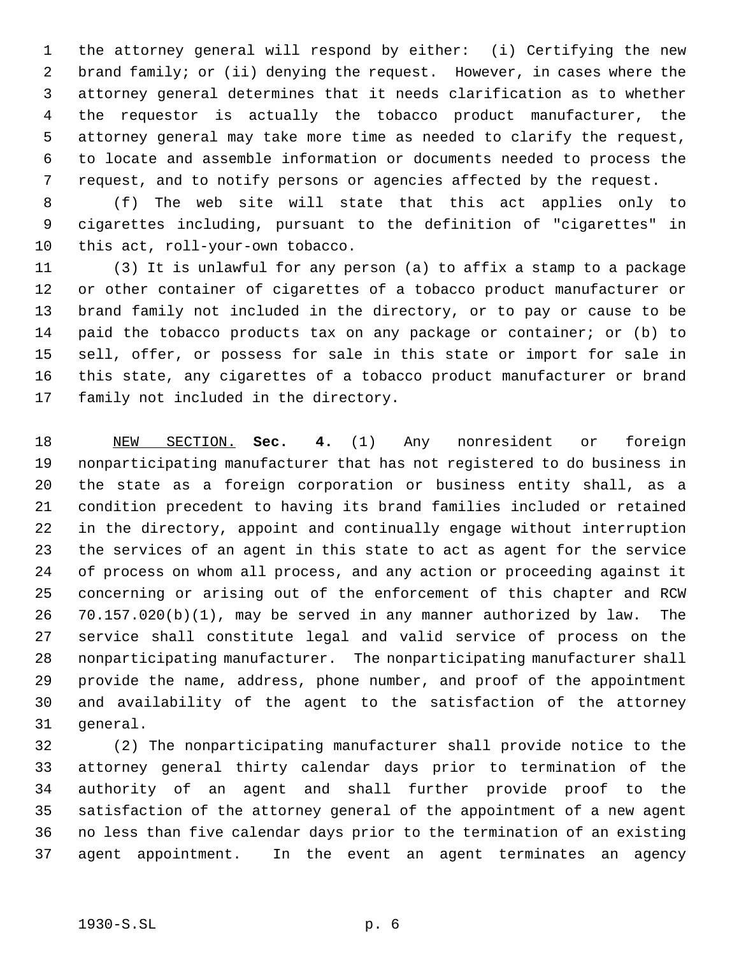the attorney general will respond by either: (i) Certifying the new brand family; or (ii) denying the request. However, in cases where the attorney general determines that it needs clarification as to whether the requestor is actually the tobacco product manufacturer, the attorney general may take more time as needed to clarify the request, to locate and assemble information or documents needed to process the request, and to notify persons or agencies affected by the request.

 (f) The web site will state that this act applies only to cigarettes including, pursuant to the definition of "cigarettes" in this act, roll-your-own tobacco.

 (3) It is unlawful for any person (a) to affix a stamp to a package or other container of cigarettes of a tobacco product manufacturer or brand family not included in the directory, or to pay or cause to be paid the tobacco products tax on any package or container; or (b) to sell, offer, or possess for sale in this state or import for sale in this state, any cigarettes of a tobacco product manufacturer or brand family not included in the directory.

 NEW SECTION. **Sec. 4.** (1) Any nonresident or foreign nonparticipating manufacturer that has not registered to do business in the state as a foreign corporation or business entity shall, as a condition precedent to having its brand families included or retained in the directory, appoint and continually engage without interruption the services of an agent in this state to act as agent for the service of process on whom all process, and any action or proceeding against it concerning or arising out of the enforcement of this chapter and RCW 70.157.020(b)(1), may be served in any manner authorized by law. The service shall constitute legal and valid service of process on the nonparticipating manufacturer. The nonparticipating manufacturer shall provide the name, address, phone number, and proof of the appointment and availability of the agent to the satisfaction of the attorney general.

 (2) The nonparticipating manufacturer shall provide notice to the attorney general thirty calendar days prior to termination of the authority of an agent and shall further provide proof to the satisfaction of the attorney general of the appointment of a new agent no less than five calendar days prior to the termination of an existing agent appointment. In the event an agent terminates an agency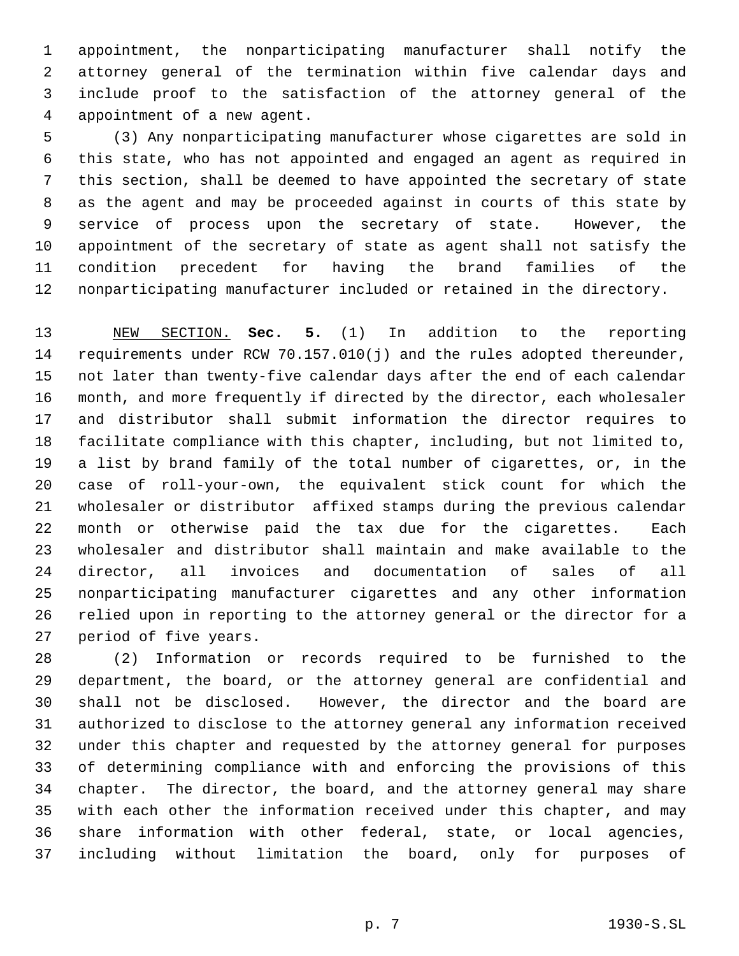appointment, the nonparticipating manufacturer shall notify the attorney general of the termination within five calendar days and include proof to the satisfaction of the attorney general of the appointment of a new agent.

 (3) Any nonparticipating manufacturer whose cigarettes are sold in this state, who has not appointed and engaged an agent as required in this section, shall be deemed to have appointed the secretary of state as the agent and may be proceeded against in courts of this state by service of process upon the secretary of state. However, the appointment of the secretary of state as agent shall not satisfy the condition precedent for having the brand families of the nonparticipating manufacturer included or retained in the directory.

 NEW SECTION. **Sec. 5.** (1) In addition to the reporting requirements under RCW 70.157.010(j) and the rules adopted thereunder, not later than twenty-five calendar days after the end of each calendar month, and more frequently if directed by the director, each wholesaler and distributor shall submit information the director requires to facilitate compliance with this chapter, including, but not limited to, a list by brand family of the total number of cigarettes, or, in the case of roll-your-own, the equivalent stick count for which the wholesaler or distributor affixed stamps during the previous calendar month or otherwise paid the tax due for the cigarettes. Each wholesaler and distributor shall maintain and make available to the director, all invoices and documentation of sales of all nonparticipating manufacturer cigarettes and any other information relied upon in reporting to the attorney general or the director for a period of five years.

 (2) Information or records required to be furnished to the department, the board, or the attorney general are confidential and shall not be disclosed. However, the director and the board are authorized to disclose to the attorney general any information received under this chapter and requested by the attorney general for purposes of determining compliance with and enforcing the provisions of this chapter. The director, the board, and the attorney general may share with each other the information received under this chapter, and may share information with other federal, state, or local agencies, including without limitation the board, only for purposes of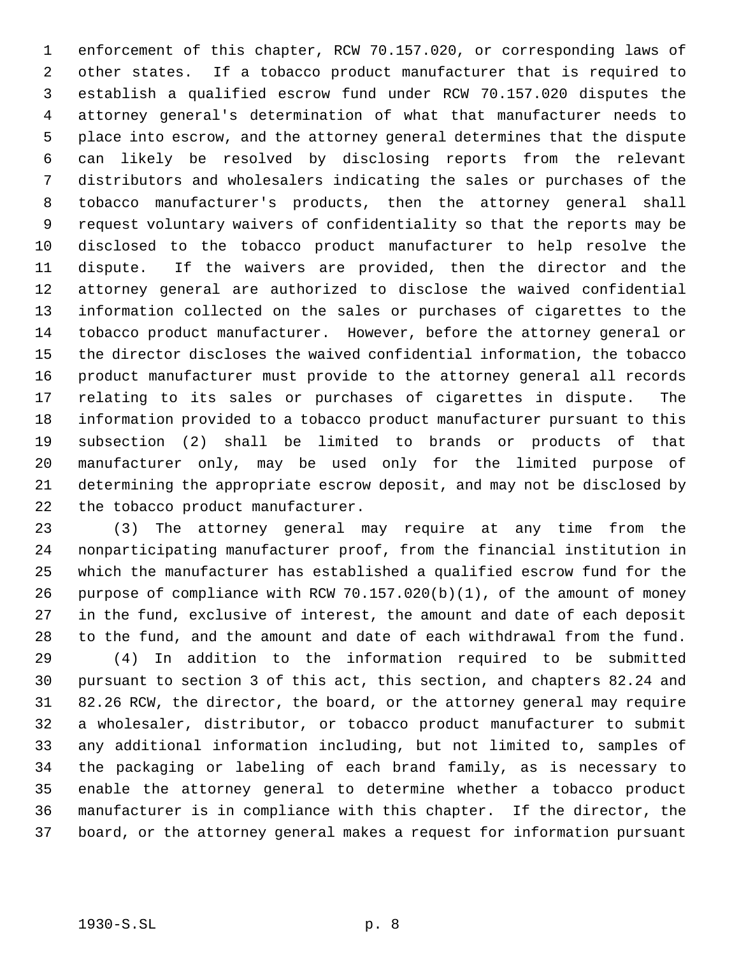enforcement of this chapter, RCW 70.157.020, or corresponding laws of other states. If a tobacco product manufacturer that is required to establish a qualified escrow fund under RCW 70.157.020 disputes the attorney general's determination of what that manufacturer needs to place into escrow, and the attorney general determines that the dispute can likely be resolved by disclosing reports from the relevant distributors and wholesalers indicating the sales or purchases of the tobacco manufacturer's products, then the attorney general shall request voluntary waivers of confidentiality so that the reports may be disclosed to the tobacco product manufacturer to help resolve the dispute. If the waivers are provided, then the director and the attorney general are authorized to disclose the waived confidential information collected on the sales or purchases of cigarettes to the tobacco product manufacturer. However, before the attorney general or the director discloses the waived confidential information, the tobacco product manufacturer must provide to the attorney general all records relating to its sales or purchases of cigarettes in dispute. The information provided to a tobacco product manufacturer pursuant to this subsection (2) shall be limited to brands or products of that manufacturer only, may be used only for the limited purpose of determining the appropriate escrow deposit, and may not be disclosed by the tobacco product manufacturer.

 (3) The attorney general may require at any time from the nonparticipating manufacturer proof, from the financial institution in which the manufacturer has established a qualified escrow fund for the purpose of compliance with RCW 70.157.020(b)(1), of the amount of money in the fund, exclusive of interest, the amount and date of each deposit to the fund, and the amount and date of each withdrawal from the fund.

 (4) In addition to the information required to be submitted pursuant to section 3 of this act, this section, and chapters 82.24 and 82.26 RCW, the director, the board, or the attorney general may require a wholesaler, distributor, or tobacco product manufacturer to submit any additional information including, but not limited to, samples of the packaging or labeling of each brand family, as is necessary to enable the attorney general to determine whether a tobacco product manufacturer is in compliance with this chapter. If the director, the board, or the attorney general makes a request for information pursuant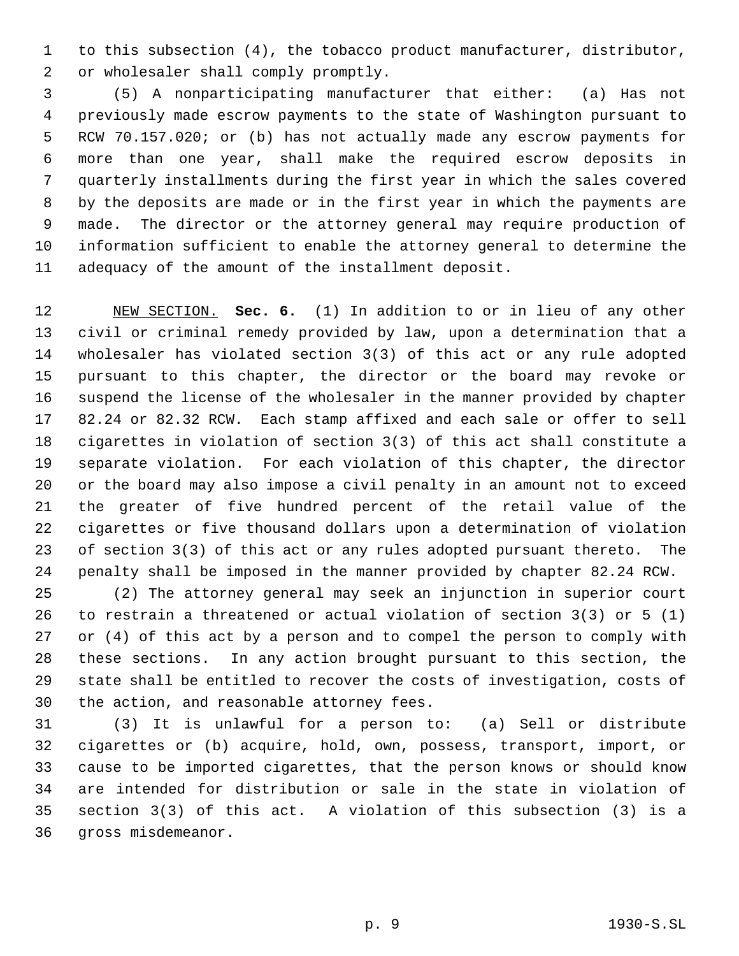to this subsection (4), the tobacco product manufacturer, distributor, or wholesaler shall comply promptly.

 (5) A nonparticipating manufacturer that either: (a) Has not previously made escrow payments to the state of Washington pursuant to RCW 70.157.020; or (b) has not actually made any escrow payments for more than one year, shall make the required escrow deposits in quarterly installments during the first year in which the sales covered by the deposits are made or in the first year in which the payments are made. The director or the attorney general may require production of information sufficient to enable the attorney general to determine the adequacy of the amount of the installment deposit.

 NEW SECTION. **Sec. 6.** (1) In addition to or in lieu of any other civil or criminal remedy provided by law, upon a determination that a wholesaler has violated section 3(3) of this act or any rule adopted pursuant to this chapter, the director or the board may revoke or suspend the license of the wholesaler in the manner provided by chapter 82.24 or 82.32 RCW. Each stamp affixed and each sale or offer to sell cigarettes in violation of section 3(3) of this act shall constitute a separate violation. For each violation of this chapter, the director or the board may also impose a civil penalty in an amount not to exceed the greater of five hundred percent of the retail value of the cigarettes or five thousand dollars upon a determination of violation of section 3(3) of this act or any rules adopted pursuant thereto. The penalty shall be imposed in the manner provided by chapter 82.24 RCW.

 (2) The attorney general may seek an injunction in superior court to restrain a threatened or actual violation of section 3(3) or 5 (1) or (4) of this act by a person and to compel the person to comply with these sections. In any action brought pursuant to this section, the state shall be entitled to recover the costs of investigation, costs of the action, and reasonable attorney fees.

 (3) It is unlawful for a person to: (a) Sell or distribute cigarettes or (b) acquire, hold, own, possess, transport, import, or cause to be imported cigarettes, that the person knows or should know are intended for distribution or sale in the state in violation of section 3(3) of this act. A violation of this subsection (3) is a gross misdemeanor.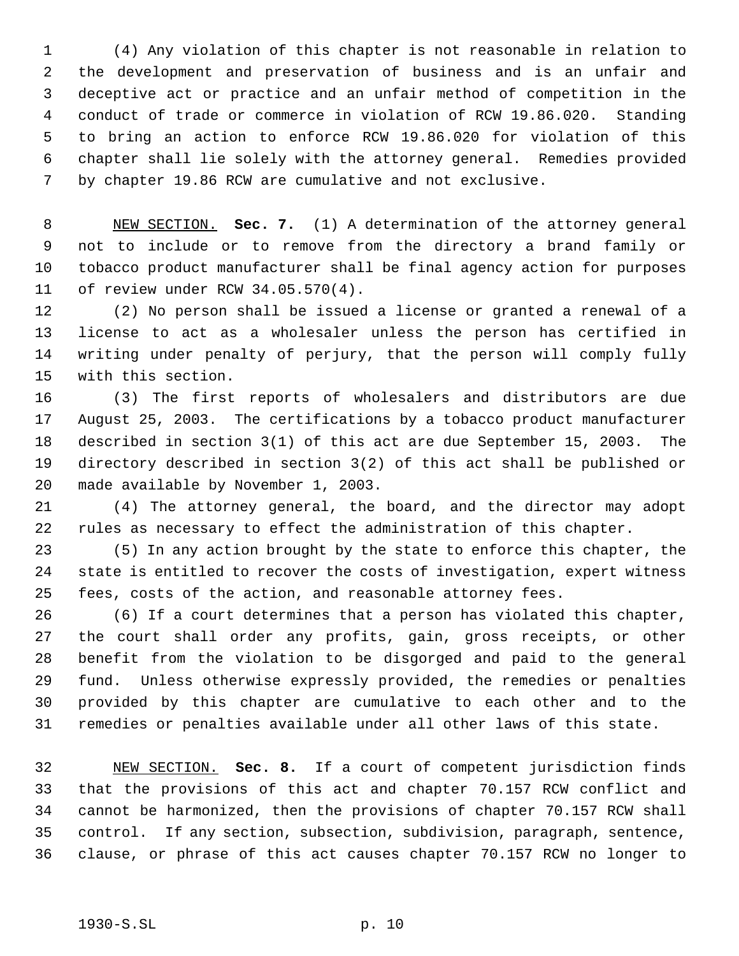(4) Any violation of this chapter is not reasonable in relation to the development and preservation of business and is an unfair and deceptive act or practice and an unfair method of competition in the conduct of trade or commerce in violation of RCW 19.86.020. Standing to bring an action to enforce RCW 19.86.020 for violation of this chapter shall lie solely with the attorney general. Remedies provided by chapter 19.86 RCW are cumulative and not exclusive.

 NEW SECTION. **Sec. 7.** (1) A determination of the attorney general not to include or to remove from the directory a brand family or tobacco product manufacturer shall be final agency action for purposes of review under RCW 34.05.570(4).

 (2) No person shall be issued a license or granted a renewal of a license to act as a wholesaler unless the person has certified in writing under penalty of perjury, that the person will comply fully with this section.

 (3) The first reports of wholesalers and distributors are due August 25, 2003. The certifications by a tobacco product manufacturer described in section 3(1) of this act are due September 15, 2003. The directory described in section 3(2) of this act shall be published or made available by November 1, 2003.

 (4) The attorney general, the board, and the director may adopt rules as necessary to effect the administration of this chapter.

 (5) In any action brought by the state to enforce this chapter, the state is entitled to recover the costs of investigation, expert witness fees, costs of the action, and reasonable attorney fees.

 (6) If a court determines that a person has violated this chapter, the court shall order any profits, gain, gross receipts, or other benefit from the violation to be disgorged and paid to the general fund. Unless otherwise expressly provided, the remedies or penalties provided by this chapter are cumulative to each other and to the remedies or penalties available under all other laws of this state.

 NEW SECTION. **Sec. 8.** If a court of competent jurisdiction finds that the provisions of this act and chapter 70.157 RCW conflict and cannot be harmonized, then the provisions of chapter 70.157 RCW shall control. If any section, subsection, subdivision, paragraph, sentence, clause, or phrase of this act causes chapter 70.157 RCW no longer to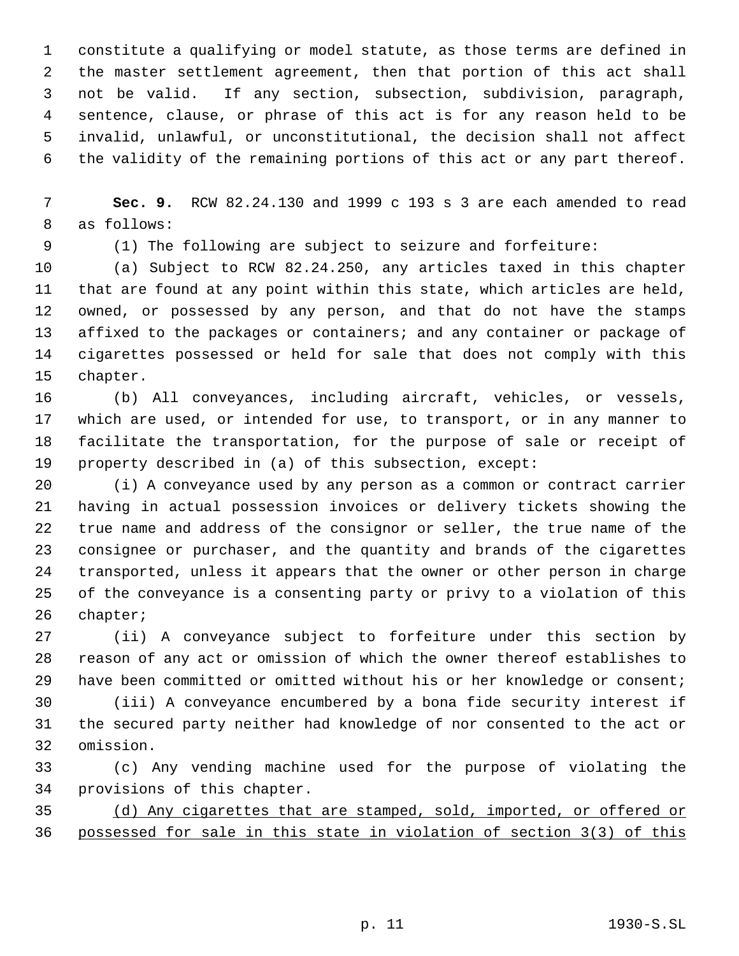constitute a qualifying or model statute, as those terms are defined in the master settlement agreement, then that portion of this act shall not be valid. If any section, subsection, subdivision, paragraph, sentence, clause, or phrase of this act is for any reason held to be invalid, unlawful, or unconstitutional, the decision shall not affect the validity of the remaining portions of this act or any part thereof.

 **Sec. 9.** RCW 82.24.130 and 1999 c 193 s 3 are each amended to read as follows:

(1) The following are subject to seizure and forfeiture:

 (a) Subject to RCW 82.24.250, any articles taxed in this chapter that are found at any point within this state, which articles are held, owned, or possessed by any person, and that do not have the stamps affixed to the packages or containers; and any container or package of cigarettes possessed or held for sale that does not comply with this chapter.

 (b) All conveyances, including aircraft, vehicles, or vessels, which are used, or intended for use, to transport, or in any manner to facilitate the transportation, for the purpose of sale or receipt of property described in (a) of this subsection, except:

 (i) A conveyance used by any person as a common or contract carrier having in actual possession invoices or delivery tickets showing the true name and address of the consignor or seller, the true name of the consignee or purchaser, and the quantity and brands of the cigarettes transported, unless it appears that the owner or other person in charge of the conveyance is a consenting party or privy to a violation of this chapter;

 (ii) A conveyance subject to forfeiture under this section by reason of any act or omission of which the owner thereof establishes to 29 have been committed or omitted without his or her knowledge or consent;

 (iii) A conveyance encumbered by a bona fide security interest if the secured party neither had knowledge of nor consented to the act or omission.

 (c) Any vending machine used for the purpose of violating the provisions of this chapter.

 (d) Any cigarettes that are stamped, sold, imported, or offered or possessed for sale in this state in violation of section 3(3) of this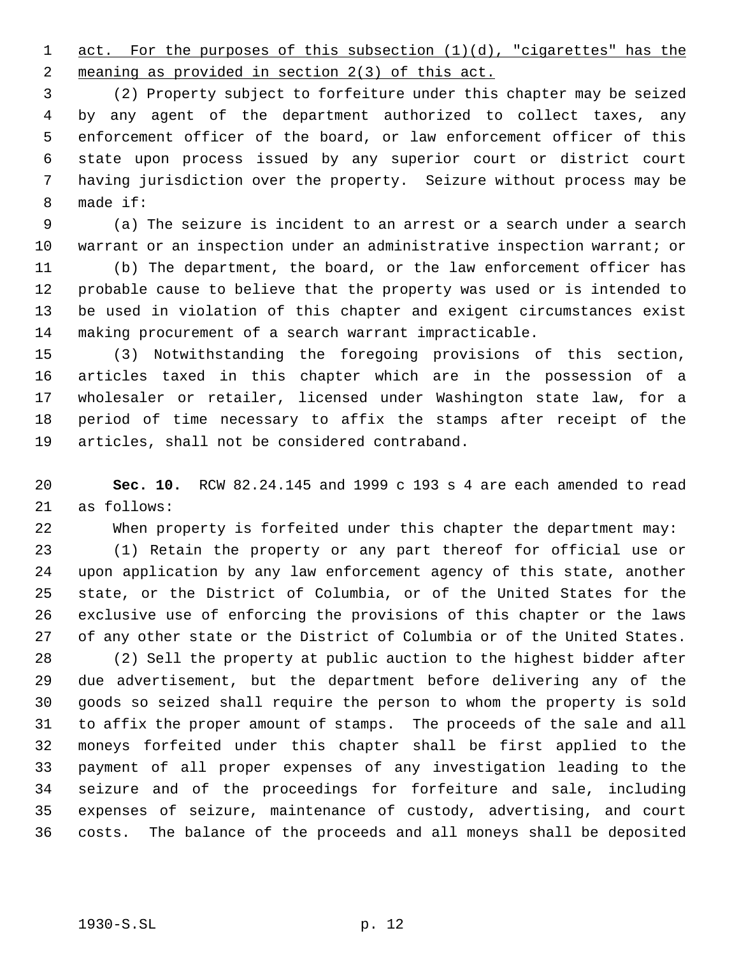1 act. For the purposes of this subsection (1)(d), "cigarettes" has the meaning as provided in section 2(3) of this act.

 (2) Property subject to forfeiture under this chapter may be seized by any agent of the department authorized to collect taxes, any enforcement officer of the board, or law enforcement officer of this state upon process issued by any superior court or district court having jurisdiction over the property. Seizure without process may be made if:

 (a) The seizure is incident to an arrest or a search under a search 10 warrant or an inspection under an administrative inspection warrant; or

 (b) The department, the board, or the law enforcement officer has probable cause to believe that the property was used or is intended to be used in violation of this chapter and exigent circumstances exist making procurement of a search warrant impracticable.

 (3) Notwithstanding the foregoing provisions of this section, articles taxed in this chapter which are in the possession of a wholesaler or retailer, licensed under Washington state law, for a period of time necessary to affix the stamps after receipt of the articles, shall not be considered contraband.

 **Sec. 10.** RCW 82.24.145 and 1999 c 193 s 4 are each amended to read as follows:

When property is forfeited under this chapter the department may:

 (1) Retain the property or any part thereof for official use or upon application by any law enforcement agency of this state, another state, or the District of Columbia, or of the United States for the exclusive use of enforcing the provisions of this chapter or the laws of any other state or the District of Columbia or of the United States.

 (2) Sell the property at public auction to the highest bidder after due advertisement, but the department before delivering any of the goods so seized shall require the person to whom the property is sold to affix the proper amount of stamps. The proceeds of the sale and all moneys forfeited under this chapter shall be first applied to the payment of all proper expenses of any investigation leading to the seizure and of the proceedings for forfeiture and sale, including expenses of seizure, maintenance of custody, advertising, and court costs. The balance of the proceeds and all moneys shall be deposited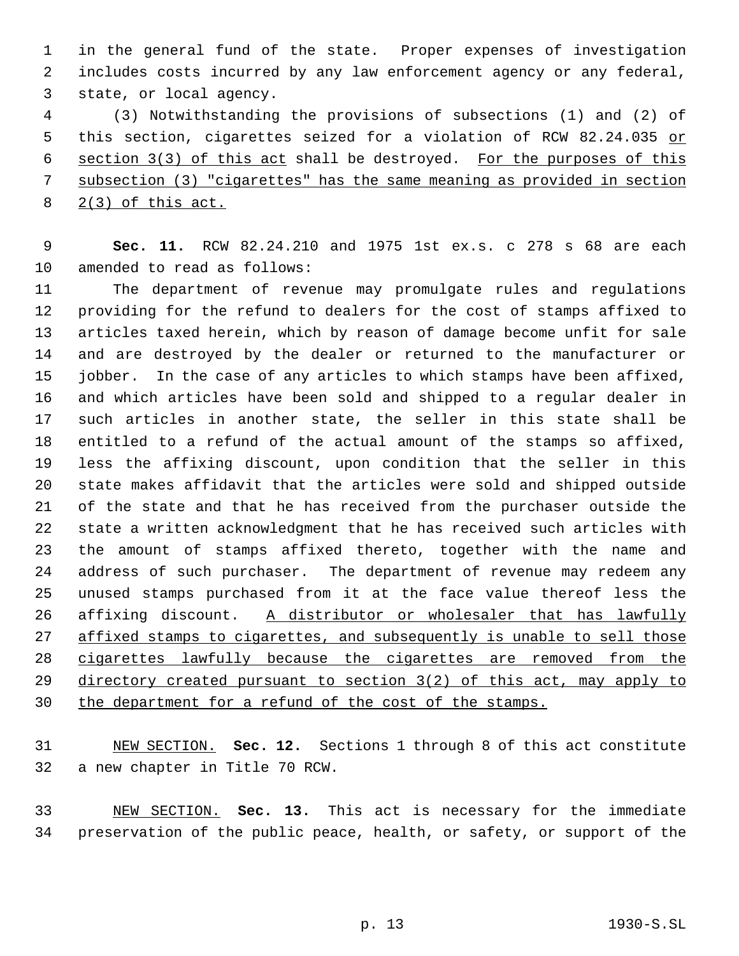in the general fund of the state. Proper expenses of investigation includes costs incurred by any law enforcement agency or any federal, state, or local agency.

 (3) Notwithstanding the provisions of subsections (1) and (2) of 5 this section, cigarettes seized for a violation of RCW 82.24.035 or 6 section 3(3) of this act shall be destroyed. For the purposes of this subsection (3) "cigarettes" has the same meaning as provided in section 2(3) of this act.

 **Sec. 11.** RCW 82.24.210 and 1975 1st ex.s. c 278 s 68 are each amended to read as follows:

 The department of revenue may promulgate rules and regulations providing for the refund to dealers for the cost of stamps affixed to articles taxed herein, which by reason of damage become unfit for sale and are destroyed by the dealer or returned to the manufacturer or jobber. In the case of any articles to which stamps have been affixed, and which articles have been sold and shipped to a regular dealer in such articles in another state, the seller in this state shall be entitled to a refund of the actual amount of the stamps so affixed, less the affixing discount, upon condition that the seller in this state makes affidavit that the articles were sold and shipped outside of the state and that he has received from the purchaser outside the state a written acknowledgment that he has received such articles with the amount of stamps affixed thereto, together with the name and address of such purchaser. The department of revenue may redeem any unused stamps purchased from it at the face value thereof less the 26 affixing discount. A distributor or wholesaler that has lawfully 27 affixed stamps to cigarettes, and subsequently is unable to sell those cigarettes lawfully because the cigarettes are removed from the directory created pursuant to section 3(2) of this act, may apply to 30 the department for a refund of the cost of the stamps.

 NEW SECTION. **Sec. 12.** Sections 1 through 8 of this act constitute a new chapter in Title 70 RCW.

 NEW SECTION. **Sec. 13.** This act is necessary for the immediate preservation of the public peace, health, or safety, or support of the